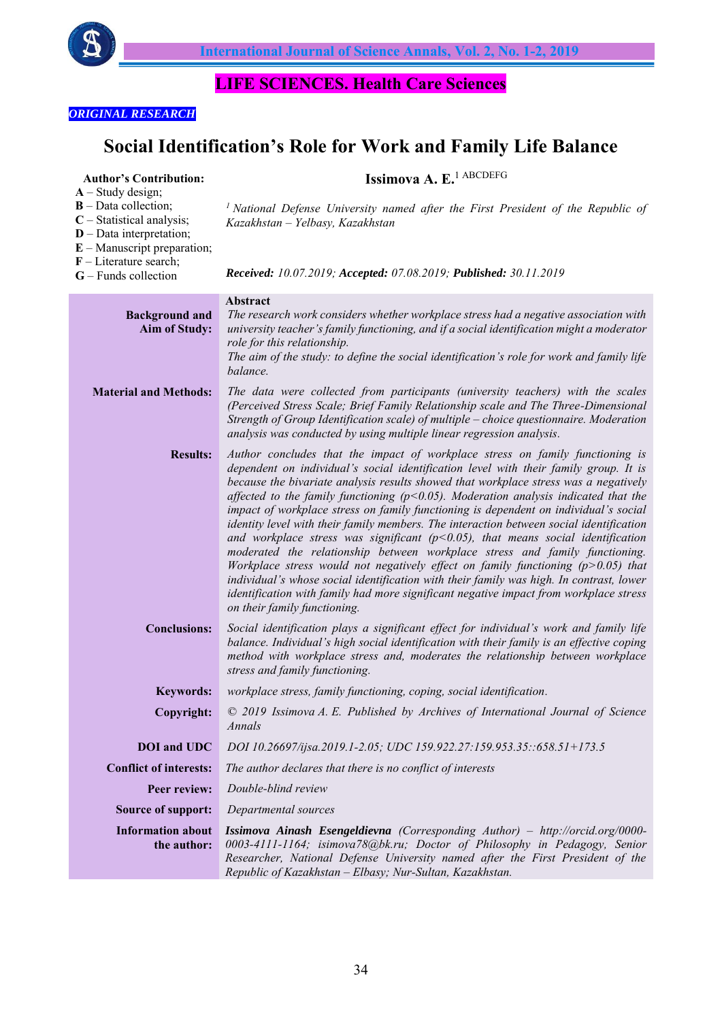

**Issimova A. E.**1 АВСDEFG

# **LIFE SCIENCES. Health Care Sciences**

# *ORIGINAL RESEARCH*

**Author's Contribution:** 

# **Social Identification's Role for Work and Family Life Balance**

| $A - Study design;$<br>$B$ – Data collection;<br>$C$ – Statistical analysis;<br>$D$ – Data interpretation;<br>$E$ – Manuscript preparation;<br>$F$ – Literature search;<br>$G$ – Funds collection | <sup>1</sup> National Defense University named after the First President of the Republic of<br>Kazakhstan - Yelbasy, Kazakhstan<br>Received: 10.07.2019; Accepted: 07.08.2019; Published: 30.11.2019                                                                                                                                                                                                                                                                                                                                                                                                                                                                                                                                                                                                                                                                                                                                                                                                                        |
|---------------------------------------------------------------------------------------------------------------------------------------------------------------------------------------------------|-----------------------------------------------------------------------------------------------------------------------------------------------------------------------------------------------------------------------------------------------------------------------------------------------------------------------------------------------------------------------------------------------------------------------------------------------------------------------------------------------------------------------------------------------------------------------------------------------------------------------------------------------------------------------------------------------------------------------------------------------------------------------------------------------------------------------------------------------------------------------------------------------------------------------------------------------------------------------------------------------------------------------------|
| <b>Background and</b><br><b>Aim of Study:</b>                                                                                                                                                     | Abstract<br>The research work considers whether workplace stress had a negative association with<br>university teacher's family functioning, and if a social identification might a moderator<br>role for this relationship.<br>The aim of the study: to define the social identification's role for work and family life<br>balance.                                                                                                                                                                                                                                                                                                                                                                                                                                                                                                                                                                                                                                                                                       |
| <b>Material and Methods:</b>                                                                                                                                                                      | The data were collected from participants (university teachers) with the scales<br>(Perceived Stress Scale; Brief Family Relationship scale and The Three-Dimensional<br>Strength of Group Identification scale) of multiple - choice questionnaire. Moderation<br>analysis was conducted by using multiple linear regression analysis.                                                                                                                                                                                                                                                                                                                                                                                                                                                                                                                                                                                                                                                                                     |
| <b>Results:</b>                                                                                                                                                                                   | Author concludes that the impact of workplace stress on family functioning is<br>dependent on individual's social identification level with their family group. It is<br>because the bivariate analysis results showed that workplace stress was a negatively<br>affected to the family functioning ( $p$ <0.05). Moderation analysis indicated that the<br>impact of workplace stress on family functioning is dependent on individual's social<br>identity level with their family members. The interaction between social identification<br>and workplace stress was significant ( $p$ <0.05), that means social identification<br>moderated the relationship between workplace stress and family functioning.<br>Workplace stress would not negatively effect on family functioning $(p>0.05)$ that<br>individual's whose social identification with their family was high. In contrast, lower<br>identification with family had more significant negative impact from workplace stress<br>on their family functioning. |
| <b>Conclusions:</b>                                                                                                                                                                               | Social identification plays a significant effect for individual's work and family life<br>balance. Individual's high social identification with their family is an effective coping<br>method with workplace stress and, moderates the relationship between workplace<br>stress and family functioning.                                                                                                                                                                                                                                                                                                                                                                                                                                                                                                                                                                                                                                                                                                                     |
| <b>Keywords:</b>                                                                                                                                                                                  | workplace stress, family functioning, coping, social identification.                                                                                                                                                                                                                                                                                                                                                                                                                                                                                                                                                                                                                                                                                                                                                                                                                                                                                                                                                        |
| Copyright:                                                                                                                                                                                        | © 2019 Issimova A. E. Published by Archives of International Journal of Science<br>Annals                                                                                                                                                                                                                                                                                                                                                                                                                                                                                                                                                                                                                                                                                                                                                                                                                                                                                                                                   |
| <b>DOI</b> and UDC                                                                                                                                                                                | DOI 10.26697/ijsa.2019.1-2.05; UDC 159.922.27:159.953.35::658.51+173.5                                                                                                                                                                                                                                                                                                                                                                                                                                                                                                                                                                                                                                                                                                                                                                                                                                                                                                                                                      |
| <b>Conflict of interests:</b>                                                                                                                                                                     | The author declares that there is no conflict of interests                                                                                                                                                                                                                                                                                                                                                                                                                                                                                                                                                                                                                                                                                                                                                                                                                                                                                                                                                                  |
| Peer review:                                                                                                                                                                                      | Double-blind review                                                                                                                                                                                                                                                                                                                                                                                                                                                                                                                                                                                                                                                                                                                                                                                                                                                                                                                                                                                                         |
| <b>Source of support:</b>                                                                                                                                                                         | Departmental sources                                                                                                                                                                                                                                                                                                                                                                                                                                                                                                                                                                                                                                                                                                                                                                                                                                                                                                                                                                                                        |
| <b>Information about</b><br>the author:                                                                                                                                                           | Issimova Ainash Esengeldievna (Corresponding Author) - http://orcid.org/0000-<br>0003-4111-1164; isimova78@bk.ru; Doctor of Philosophy in Pedagogy, Senior<br>Researcher, National Defense University named after the First President of the<br>Republic of Kazakhstan - Elbasy; Nur-Sultan, Kazakhstan.                                                                                                                                                                                                                                                                                                                                                                                                                                                                                                                                                                                                                                                                                                                    |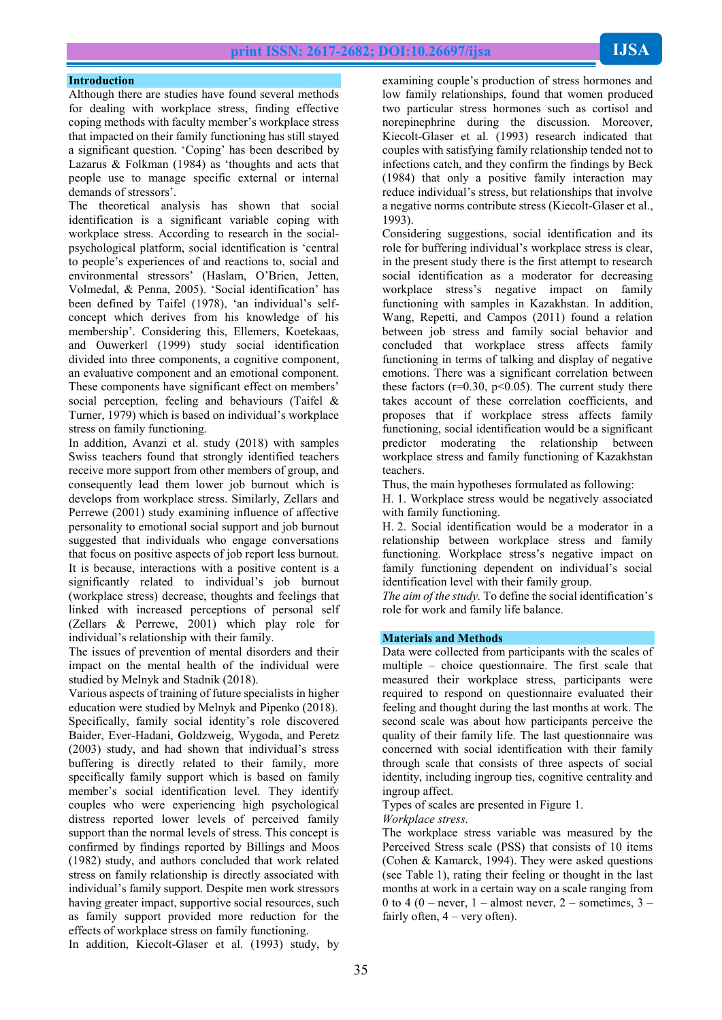Although there are studies have found several methods for dealing with workplace stress, finding effective coping methods with faculty member's workplace stress that impacted on their family functioning has still stayed a significant question. 'Coping' has been described by Lazarus & Folkman (1984) as 'thoughts and acts that people use to manage specific external or internal demands of stressors'.

The theoretical analysis has shown that social identification is a significant variable coping with workplace stress. According to research in the socialpsychological platform, social identification is 'central to people's experiences of and reactions to, social and environmental stressors' (Haslam, O'Brien, Jetten, Volmedal, & Penna, 2005). 'Social identification' has been defined by Taifel (1978), 'an individual's selfconcept which derives from his knowledge of his membership'. Considering this, Ellemers, Koetekaas, and Ouwerkerl (1999) study social identification divided into three components, a cognitive component, an evaluative component and an emotional component. These components have significant effect on members' social perception, feeling and behaviours (Taifel & Turner, 1979) which is based on individual's workplace stress on family functioning.

In addition, Avanzi et al. study (2018) with samples Swiss teachers found that strongly identified teachers receive more support from other members of group, and consequently lead them lower job burnout which is develops from workplace stress. Similarly, Zellars and Perrewe (2001) study examining influence of affective personality to emotional social support and job burnout suggested that individuals who engage conversations that focus on positive aspects of job report less burnout. It is because, interactions with a positive content is a significantly related to individual's job burnout (workplace stress) decrease, thoughts and feelings that linked with increased perceptions of personal self (Zellars & Perrewe, 2001) which play role for individual's relationship with their family.

The issues of prevention of mental disorders and their impact on the mental health of the individual were studied by Melnyk and Stadnik (2018).

Various aspects of training of future specialists in higher education were studied by Melnyk and Pipenko (2018). Specifically, family social identity's role discovered Baider, Ever-Hadani, Goldzweig, Wygoda, and Peretz (2003) study, and had shown that individual's stress buffering is directly related to their family, more specifically family support which is based on family member's social identification level. They identify couples who were experiencing high psychological distress reported lower levels of perceived family support than the normal levels of stress. This concept is confirmed by findings reported by Billings and Moos (1982) study, and authors concluded that work related stress on family relationship is directly associated with individual's family support. Despite men work stressors having greater impact, supportive social resources, such as family support provided more reduction for the effects of workplace stress on family functioning.

examining couple's production of stress hormones and low family relationships, found that women produced two particular stress hormones such as cortisol and norepinephrine during the discussion. Moreover, Kiecolt-Glaser et al. (1993) research indicated that couples with satisfying family relationship tended not to infections catch, and they confirm the findings by Beck (1984) that only a positive family interaction may reduce individual's stress, but relationships that involve a negative norms contribute stress (Kiecolt-Glaser et al., 1993).

Considering suggestions, social identification and its role for buffering individual's workplace stress is clear, in the present study there is the first attempt to research social identification as a moderator for decreasing workplace stress's negative impact on family functioning with samples in Kazakhstan. In addition, Wang, Repetti, and Campos (2011) found a relation between job stress and family social behavior and concluded that workplace stress affects family functioning in terms of talking and display of negative emotions. There was a significant correlation between these factors ( $r=0.30$ ,  $p<0.05$ ). The current study there takes account of these correlation coefficients, and proposes that if workplace stress affects family functioning, social identification would be a significant predictor moderating the relationship between workplace stress and family functioning of Kazakhstan teachers.

Thus, the main hypotheses formulated as following:

H. 1. Workplace stress would be negatively associated with family functioning.

H. 2. Social identification would be a moderator in a relationship between workplace stress and family functioning. Workplace stress's negative impact on family functioning dependent on individual's social identification level with their family group.

*The aim of the study.* To define the social identification's role for work and family life balance.

#### **Materials and Methods**

Data were collected from participants with the scales of multiple – choice questionnaire. The first scale that measured their workplace stress, participants were required to respond on questionnaire evaluated their feeling and thought during the last months at work. The second scale was about how participants perceive the quality of their family life. The last questionnaire was concerned with social identification with their family through scale that consists of three aspects of social identity, including ingroup ties, cognitive centrality and ingroup affect.

Types of scales are presented in Figure 1.

*Workplace stress.*

The workplace stress variable was measured by the Perceived Stress scale (PSS) that consists of 10 items (Cohen & Kamarck, 1994). They were asked questions (see Table 1), rating their feeling or thought in the last months at work in a certain way on a scale ranging from 0 to 4 (0 – never, 1 – almost never, 2 – sometimes,  $3$  – fairly often,  $4 - \text{very often}$ .

In addition, Kiecolt-Glaser et al. (1993) study, by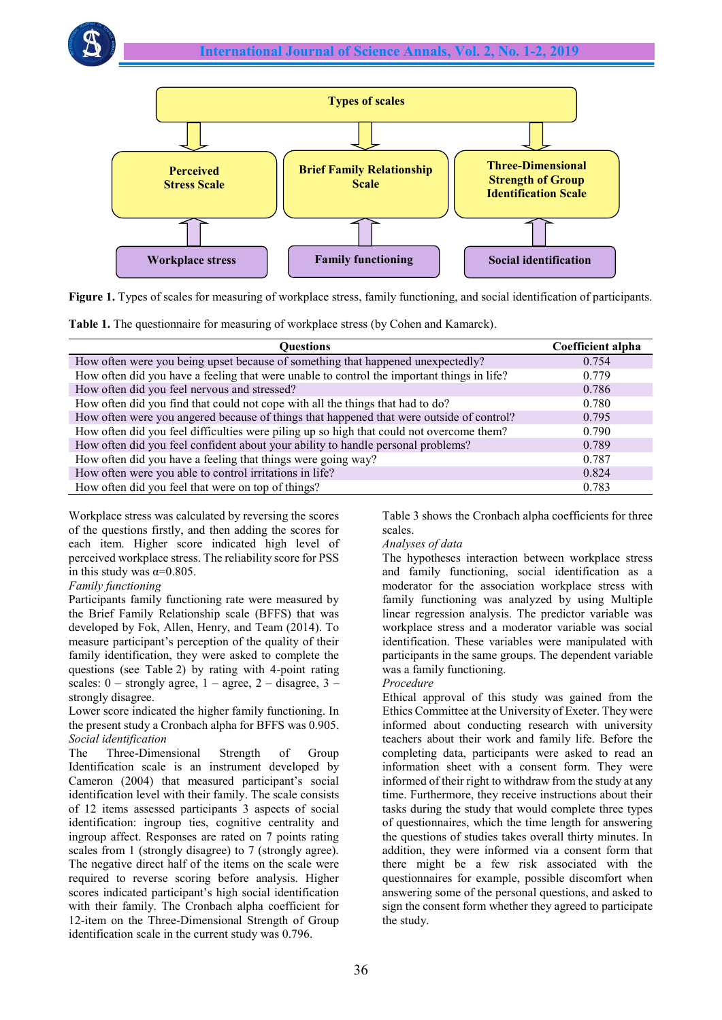

**Figure 1.** Types of scales for measuring of workplace stress, family functioning, and social identification of participants.

|  |  |  |  |  |  |  |  |  | Table 1. The questionnaire for measuring of workplace stress (by Cohen and Kamarck). |
|--|--|--|--|--|--|--|--|--|--------------------------------------------------------------------------------------|
|--|--|--|--|--|--|--|--|--|--------------------------------------------------------------------------------------|

| Ouestions                                                                                  | Coefficient alpha |
|--------------------------------------------------------------------------------------------|-------------------|
| How often were you being upset because of something that happened unexpectedly?            | 0.754             |
| How often did you have a feeling that were unable to control the important things in life? | 0.779             |
| How often did you feel nervous and stressed?                                               | 0.786             |
| How often did you find that could not cope with all the things that had to do?             | 0.780             |
| How often were you angered because of things that happened that were outside of control?   | 0.795             |
| How often did you feel difficulties were piling up so high that could not overcome them?   | 0.790             |
| How often did you feel confident about your ability to handle personal problems?           | 0.789             |
| How often did you have a feeling that things were going way?                               | 0.787             |
| How often were you able to control irritations in life?                                    | 0.824             |
| How often did you feel that were on top of things?                                         | 0.783             |

Workplace stress was calculated by reversing the scores of the questions firstly, and then adding the scores for each item. Higher score indicated high level of perceived workplace stress. The reliability score for PSS in this study was  $\alpha = 0.805$ .

### *Family functioning*

Participants family functioning rate were measured by the Brief Family Relationship scale (BFFS) that was developed by Fok, Allen, Henry, and Team (2014). To measure participant's perception of the quality of their family identification, they were asked to complete the questions (see Table 2) by rating with 4-point rating scales:  $0$  – strongly agree,  $1$  – agree,  $2$  – disagree,  $3$  – strongly disagree.

Lower score indicated the higher family functioning. In the present study a Cronbach alpha for BFFS was 0.905. *Social identification*

The Three-Dimensional Strength of Group Identification scale is an instrument developed by Cameron (2004) that measured participant's social identification level with their family. The scale consists of 12 items assessed participants 3 aspects of social identification: ingroup ties, cognitive centrality and ingroup affect. Responses are rated on 7 points rating scales from 1 (strongly disagree) to 7 (strongly agree). The negative direct half of the items on the scale were required to reverse scoring before analysis. Higher scores indicated participant's high social identification with their family. The Cronbach alpha coefficient for 12-item on the Three-Dimensional Strength of Group identification scale in the current study was 0.796.

Table 3 shows the Cronbach alpha coefficients for three scales.

### *Analyses of data*

The hypotheses interaction between workplace stress and family functioning, social identification as a moderator for the association workplace stress with family functioning was analyzed by using Multiple linear regression analysis. The predictor variable was workplace stress and a moderator variable was social identification. These variables were manipulated with participants in the same groups. The dependent variable was a family functioning.

### *Procedure*

Ethical approval of this study was gained from the Ethics Committee at the University of Exeter. They were informed about conducting research with university teachers about their work and family life. Before the completing data, participants were asked to read an information sheet with a consent form. They were informed of their right to withdraw from the study at any time. Furthermore, they receive instructions about their tasks during the study that would complete three types of questionnaires, which the time length for answering the questions of studies takes overall thirty minutes. In addition, they were informed via a consent form that there might be a few risk associated with the questionnaires for example, possible discomfort when answering some of the personal questions, and asked to sign the consent form whether they agreed to participate the study.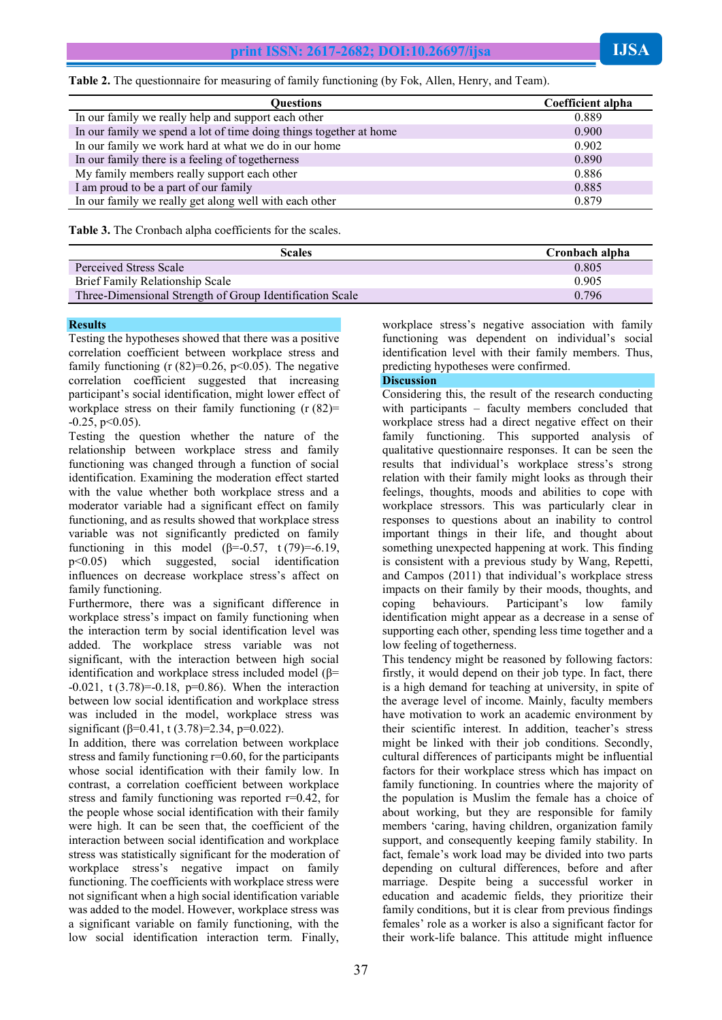**Table 2.** The questionnaire for measuring of family functioning (by Fok, Allen, Henry, and Team).

| <b>Ouestions</b>                                                   | <b>Coefficient alpha</b> |
|--------------------------------------------------------------------|--------------------------|
| In our family we really help and support each other                | 0.889                    |
| In our family we spend a lot of time doing things together at home | 0.900                    |
| In our family we work hard at what we do in our home               | 0.902                    |
| In our family there is a feeling of togetherness                   | 0.890                    |
| My family members really support each other                        | 0.886                    |
| I am proud to be a part of our family                              | 0.885                    |
| In our family we really get along well with each other             | 0.879                    |

**Table 3.** The Cronbach alpha coefficients for the scales.

| <b>Scales</b>                                            | Cronbach alpha |
|----------------------------------------------------------|----------------|
| Perceived Stress Scale                                   | 0.805          |
| Brief Family Relationship Scale                          | 0.905          |
| Three-Dimensional Strength of Group Identification Scale | 0.796          |

#### **Results**

Testing the hypotheses showed that there was a positive correlation coefficient between workplace stress and family functioning (r  $(82)=0.26$ ,  $p<0.05$ ). The negative correlation coefficient suggested that increasing participant's social identification, might lower effect of workplace stress on their family functioning  $(r (82))$ =  $-0.25$ ,  $p<0.05$ ).

Testing the question whether the nature of the relationship between workplace stress and family functioning was changed through a function of social identification. Examining the moderation effect started with the value whether both workplace stress and a moderator variable had a significant effect on family functioning, and as results showed that workplace stress variable was not significantly predicted on family functioning in this model ( $\beta$ =-0.57, t (79)=-6.19, p<0.05) which suggested, social identification influences on decrease workplace stress's affect on family functioning.

Furthermore, there was a significant difference in workplace stress's impact on family functioning when the interaction term by social identification level was added. The workplace stress variable was not significant, with the interaction between high social identification and workplace stress included model (β=  $-0.021$ , t  $(3.78) = -0.18$ ,  $p=0.86$ ). When the interaction between low social identification and workplace stress was included in the model, workplace stress was significant ( $\beta$ =0.41, t (3.78)=2.34, p=0.022).

In addition, there was correlation between workplace stress and family functioning r=0.60, for the participants whose social identification with their family low. In contrast, a correlation coefficient between workplace stress and family functioning was reported  $r=0.42$ , for the people whose social identification with their family were high. It can be seen that, the coefficient of the interaction between social identification and workplace stress was statistically significant for the moderation of workplace stress's negative impact on family functioning. The coefficients with workplace stress were not significant when a high social identification variable was added to the model. However, workplace stress was a significant variable on family functioning, with the low social identification interaction term. Finally,

workplace stress's negative association with family functioning was dependent on individual's social identification level with their family members. Thus, predicting hypotheses were confirmed.

#### **Discussion**

Considering this, the result of the research conducting with participants – faculty members concluded that workplace stress had a direct negative effect on their family functioning. This supported analysis of qualitative questionnaire responses. It can be seen the results that individual's workplace stress's strong relation with their family might looks as through their feelings, thoughts, moods and abilities to cope with workplace stressors. This was particularly clear in responses to questions about an inability to control important things in their life, and thought about something unexpected happening at work. This finding is consistent with a previous study by Wang, Repetti, and Campos (2011) that individual's workplace stress impacts on their family by their moods, thoughts, and coping behaviours. Participant's low family identification might appear as a decrease in a sense of supporting each other, spending less time together and a low feeling of togetherness.

This tendency might be reasoned by following factors: firstly, it would depend on their job type. In fact, there is a high demand for teaching at university, in spite of the average level of income. Mainly, faculty members have motivation to work an academic environment by their scientific interest. In addition, teacher's stress might be linked with their job conditions. Secondly, cultural differences of participants might be influential factors for their workplace stress which has impact on family functioning. In countries where the majority of the population is Muslim the female has a choice of about working, but they are responsible for family members 'caring, having children, organization family support, and consequently keeping family stability. In fact, female's work load may be divided into two parts depending on cultural differences, before and after marriage. Despite being a successful worker in education and academic fields, they prioritize their family conditions, but it is clear from previous findings females' role as a worker is also a significant factor for their work-life balance. This attitude might influence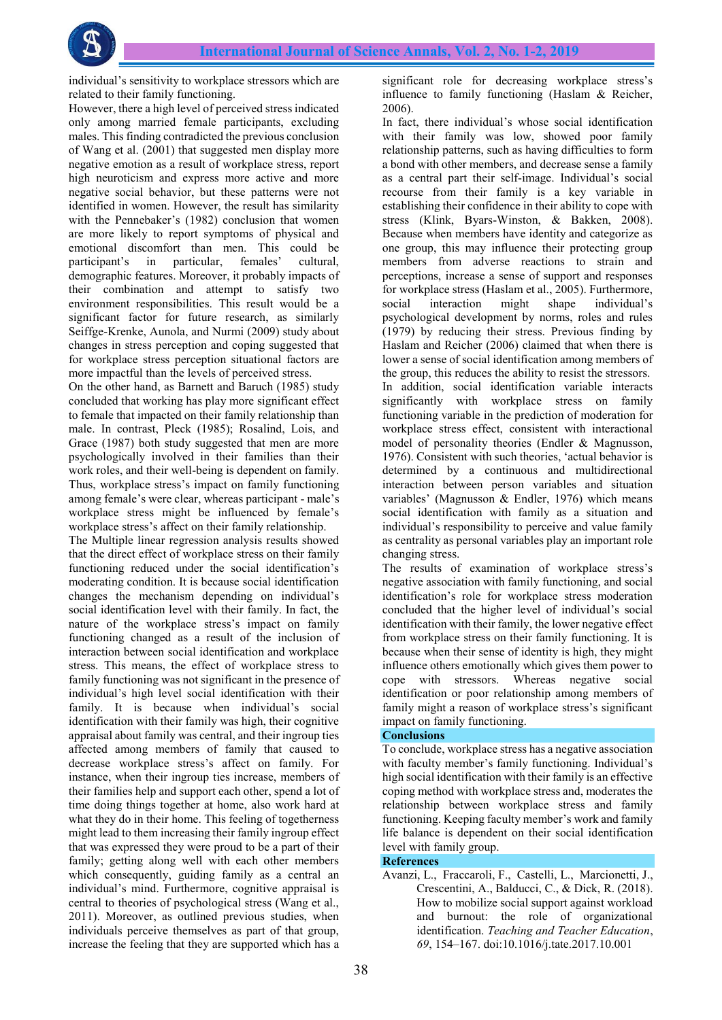individual's sensitivity to workplace stressors which are related to their family functioning.

However, there a high level of perceived stress indicated only among married female participants, excluding males. This finding contradicted the previous conclusion of Wang et al. (2001) that suggested men display more negative emotion as a result of workplace stress, report high neuroticism and express more active and more negative social behavior, but these patterns were not identified in women. However, the result has similarity with the Pennebaker's (1982) conclusion that women are more likely to report symptoms of physical and emotional discomfort than men. This could be participant's in particular, females' cultural, demographic features. Moreover, it probably impacts of their combination and attempt to satisfy two environment responsibilities. This result would be a significant factor for future research, as similarly Seiffge-Krenke, Aunola, and Nurmi (2009) study about changes in stress perception and coping suggested that for workplace stress perception situational factors are more impactful than the levels of perceived stress.

On the other hand, as Barnett and Baruch (1985) study concluded that working has play more significant effect to female that impacted on their family relationship than male. In contrast, Pleck (1985); Rosalind, Lois, and Grace (1987) both study suggested that men are more psychologically involved in their families than their work roles, and their well-being is dependent on family. Thus, workplace stress's impact on family functioning among female's were clear, whereas participant - male's workplace stress might be influenced by female's workplace stress's affect on their family relationship.

The Multiple linear regression analysis results showed that the direct effect of workplace stress on their family functioning reduced under the social identification's moderating condition. It is because social identification changes the mechanism depending on individual's social identification level with their family. In fact, the nature of the workplace stress's impact on family functioning changed as a result of the inclusion of interaction between social identification and workplace stress. This means, the effect of workplace stress to family functioning was not significant in the presence of individual's high level social identification with their family. It is because when individual's social identification with their family was high, their cognitive appraisal about family was central, and their ingroup ties affected among members of family that caused to decrease workplace stress's affect on family. For instance, when their ingroup ties increase, members of their families help and support each other, spend a lot of time doing things together at home, also work hard at what they do in their home. This feeling of togetherness might lead to them increasing their family ingroup effect that was expressed they were proud to be a part of their family; getting along well with each other members which consequently, guiding family as a central an individual's mind. Furthermore, cognitive appraisal is central to theories of psychological stress (Wang et al., 2011). Moreover, as outlined previous studies, when individuals perceive themselves as part of that group, increase the feeling that they are supported which has a

significant role for decreasing workplace stress's influence to family functioning (Haslam & Reicher, 2006).

In fact, there individual's whose social identification with their family was low, showed poor family relationship patterns, such as having difficulties to form a bond with other members, and decrease sense a family as a central part their self-image. Individual's social recourse from their family is a key variable in establishing their confidence in their ability to cope with stress (Klink, Byars-Winston, & Bakken, 2008). Because when members have identity and categorize as one group, this may influence their protecting group members from adverse reactions to strain and perceptions, increase a sense of support and responses for workplace stress (Haslam et al., 2005). Furthermore, social interaction might shape individual's psychological development by norms, roles and rules (1979) by reducing their stress. Previous finding by Haslam and Reicher (2006) claimed that when there is lower a sense of social identification among members of the group, this reduces the ability to resist the stressors. In addition, social identification variable interacts significantly with workplace stress on family functioning variable in the prediction of moderation for workplace stress effect, consistent with interactional model of personality theories (Endler & Magnusson, 1976). Consistent with such theories, 'actual behavior is determined by a continuous and multidirectional interaction between person variables and situation variables' (Magnusson & Endler, 1976) which means social identification with family as a situation and individual's responsibility to perceive and value family as centrality as personal variables play an important role changing stress.

The results of examination of workplace stress's negative association with family functioning, and social identification's role for workplace stress moderation concluded that the higher level of individual's social identification with their family, the lower negative effect from workplace stress on their family functioning. It is because when their sense of identity is high, they might influence others emotionally which gives them power to cope with stressors. Whereas negative social identification or poor relationship among members of family might a reason of workplace stress's significant impact on family functioning.

# **Conclusions**

To conclude, workplace stress has a negative association with faculty member's family functioning. Individual's high social identification with their family is an effective coping method with workplace stress and, moderates the relationship between workplace stress and family functioning. Keeping faculty member's work and family life balance is dependent on their social identification level with family group.

# **References**

Avanzi, L., Fraccaroli, F., Castelli, L., Marcionetti, J., Crescentini, A., Balducci, C., & Dick, R. (2018). How to mobilize social support against workload and burnout: the role of organizational identification. *Teaching and Teacher Education*, *69*, 154–167. doi:10.1016/j.tate.2017.10.001